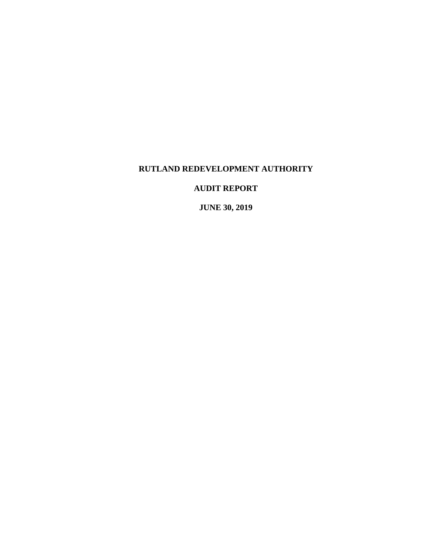# **RUTLAND REDEVELOPMENT AUTHORITY**

**AUDIT REPORT** 

**JUNE 30, 2019**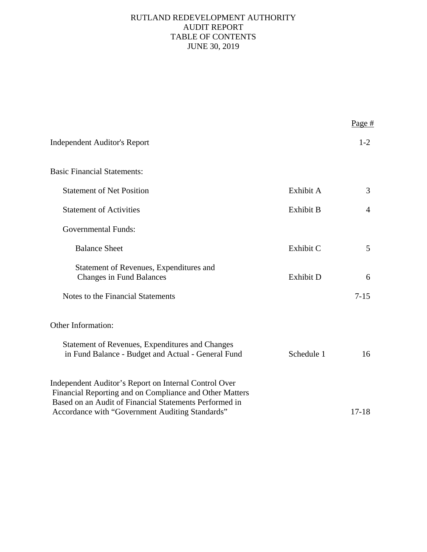# RUTLAND REDEVELOPMENT AUTHORITY AUDIT REPORT TABLE OF CONTENTS JUNE 30, 2019

|                                                                                                                                                                            |                  | Page #    |
|----------------------------------------------------------------------------------------------------------------------------------------------------------------------------|------------------|-----------|
| <b>Independent Auditor's Report</b>                                                                                                                                        |                  | $1 - 2$   |
| <b>Basic Financial Statements:</b>                                                                                                                                         |                  |           |
| <b>Statement of Net Position</b>                                                                                                                                           | Exhibit A        | 3         |
| <b>Statement of Activities</b>                                                                                                                                             | Exhibit B        | 4         |
| <b>Governmental Funds:</b>                                                                                                                                                 |                  |           |
| <b>Balance Sheet</b>                                                                                                                                                       | Exhibit C        | 5         |
| Statement of Revenues, Expenditures and<br><b>Changes in Fund Balances</b>                                                                                                 | <b>Exhibit D</b> | 6         |
| Notes to the Financial Statements                                                                                                                                          |                  | $7-15$    |
| Other Information:<br>Statement of Revenues, Expenditures and Changes                                                                                                      |                  |           |
| in Fund Balance - Budget and Actual - General Fund                                                                                                                         | Schedule 1       | 16        |
| Independent Auditor's Report on Internal Control Over<br>Financial Reporting and on Compliance and Other Matters<br>Based on an Audit of Financial Statements Performed in |                  |           |
| Accordance with "Government Auditing Standards"                                                                                                                            |                  | $17 - 18$ |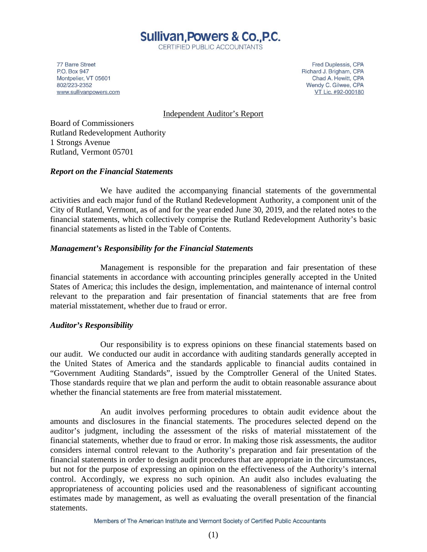

**77 Barre Street** P.O. Box 947 Montpelier, VT 05601 802/223-2352 www.sullivanpowers.com

Fred Duplessis, CPA Richard J. Brigham, CPA Chad A. Hewitt, CPA Wendy C. Gilwee, CPA VT Lic. #92-000180

#### Independent Auditor's Report

Board of Commissioners Rutland Redevelopment Authority 1 Strongs Avenue Rutland, Vermont 05701

#### *Report on the Financial Statements*

We have audited the accompanying financial statements of the governmental activities and each major fund of the Rutland Redevelopment Authority, a component unit of the City of Rutland, Vermont, as of and for the year ended June 30, 2019, and the related notes to the financial statements, which collectively comprise the Rutland Redevelopment Authority's basic financial statements as listed in the Table of Contents.

### *Management's Responsibility for the Financial Statements*

Management is responsible for the preparation and fair presentation of these financial statements in accordance with accounting principles generally accepted in the United States of America; this includes the design, implementation, and maintenance of internal control relevant to the preparation and fair presentation of financial statements that are free from material misstatement, whether due to fraud or error.

#### *Auditor's Responsibility*

Our responsibility is to express opinions on these financial statements based on our audit. We conducted our audit in accordance with auditing standards generally accepted in the United States of America and the standards applicable to financial audits contained in "Government Auditing Standards", issued by the Comptroller General of the United States. Those standards require that we plan and perform the audit to obtain reasonable assurance about whether the financial statements are free from material misstatement.

An audit involves performing procedures to obtain audit evidence about the amounts and disclosures in the financial statements. The procedures selected depend on the auditor's judgment, including the assessment of the risks of material misstatement of the financial statements, whether due to fraud or error. In making those risk assessments, the auditor considers internal control relevant to the Authority's preparation and fair presentation of the financial statements in order to design audit procedures that are appropriate in the circumstances, but not for the purpose of expressing an opinion on the effectiveness of the Authority's internal control. Accordingly, we express no such opinion. An audit also includes evaluating the appropriateness of accounting policies used and the reasonableness of significant accounting estimates made by management, as well as evaluating the overall presentation of the financial statements.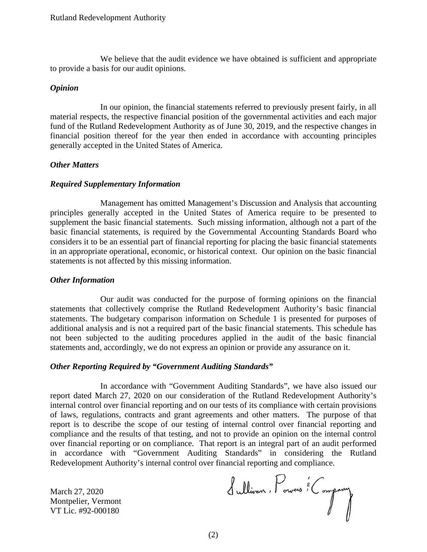We believe that the audit evidence we have obtained is sufficient and appropriate to provide a basis for our audit opinions.

#### *Opinion*

In our opinion, the financial statements referred to previously present fairly, in all material respects, the respective financial position of the governmental activities and each major fund of the Rutland Redevelopment Authority as of June 30, 2019, and the respective changes in financial position thereof for the year then ended in accordance with accounting principles generally accepted in the United States of America.

#### *Other Matters*

#### *Required Supplementary Information*

Management has omitted Management's Discussion and Analysis that accounting principles generally accepted in the United States of America require to be presented to supplement the basic financial statements. Such missing information, although not a part of the basic financial statements, is required by the Governmental Accounting Standards Board who considers it to be an essential part of financial reporting for placing the basic financial statements in an appropriate operational, economic, or historical context. Our opinion on the basic financial statements is not affected by this missing information.

#### *Other Information*

Our audit was conducted for the purpose of forming opinions on the financial statements that collectively comprise the Rutland Redevelopment Authority's basic financial statements. The budgetary comparison information on Schedule 1 is presented for purposes of additional analysis and is not a required part of the basic financial statements. This schedule has not been subjected to the auditing procedures applied in the audit of the basic financial statements and, accordingly, we do not express an opinion or provide any assurance on it.

#### *Other Reporting Required by "Government Auditing Standards"*

In accordance with "Government Auditing Standards", we have also issued our report dated March 27, 2020 on our consideration of the Rutland Redevelopment Authority's internal control over financial reporting and on our tests of its compliance with certain provisions of laws, regulations, contracts and grant agreements and other matters. The purpose of that report is to describe the scope of our testing of internal control over financial reporting and compliance and the results of that testing, and not to provide an opinion on the internal control over financial reporting or on compliance. That report is an integral part of an audit performed in accordance with "Government Auditing Standards" in considering the Rutland Redevelopment Authority's internal control over financial reporting and compliance.

March 27, 2020 Montpelier, Vermont VT Lic. #92-000180

Sullivan, Powers : Company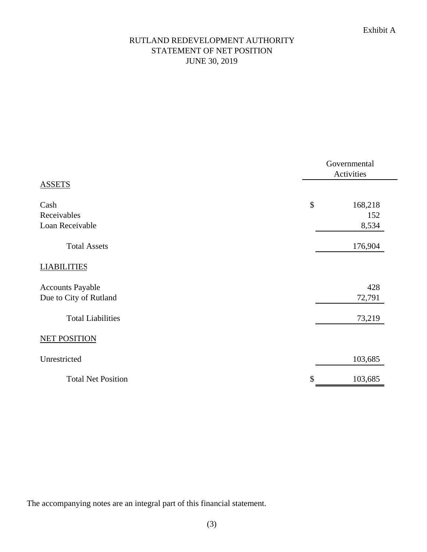# RUTLAND REDEVELOPMENT AUTHORITY STATEMENT OF NET POSITION JUNE 30, 2019

|                           | Governmental<br>Activities |  |  |  |  |
|---------------------------|----------------------------|--|--|--|--|
| <b>ASSETS</b>             |                            |  |  |  |  |
| Cash                      | \$<br>168,218              |  |  |  |  |
| Receivables               | 152                        |  |  |  |  |
| Loan Receivable           | 8,534                      |  |  |  |  |
| <b>Total Assets</b>       | 176,904                    |  |  |  |  |
| <b>LIABILITIES</b>        |                            |  |  |  |  |
| <b>Accounts Payable</b>   | 428                        |  |  |  |  |
| Due to City of Rutland    | 72,791                     |  |  |  |  |
| <b>Total Liabilities</b>  | 73,219                     |  |  |  |  |
| <b>NET POSITION</b>       |                            |  |  |  |  |
| Unrestricted              | 103,685                    |  |  |  |  |
| <b>Total Net Position</b> | 103,685<br>\$              |  |  |  |  |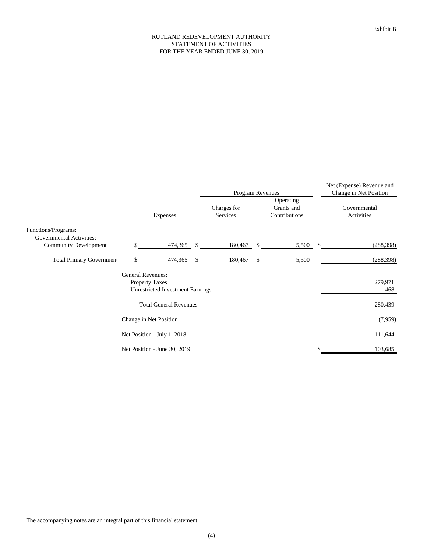#### RUTLAND REDEVELOPMENT AUTHORITY STATEMENT OF ACTIVITIES FOR THE YEAR ENDED JUNE 30, 2019

|                                                        |                          |                                         |              | Program Revenues        |    |                                          |    | Net (Expense) Revenue and<br>Change in Net Position |
|--------------------------------------------------------|--------------------------|-----------------------------------------|--------------|-------------------------|----|------------------------------------------|----|-----------------------------------------------------|
|                                                        |                          | Expenses                                |              | Charges for<br>Services |    | Operating<br>Grants and<br>Contributions |    | Governmental<br>Activities                          |
| Functions/Programs:<br><b>Governmental Activities:</b> |                          |                                         |              |                         |    |                                          |    |                                                     |
| <b>Community Development</b>                           | \$                       | 474,365                                 | $\mathbb{S}$ | 180,467                 | \$ | 5,500                                    | \$ | (288, 398)                                          |
| <b>Total Primary Government</b>                        | \$                       | 474,365                                 | \$           | 180,467                 | S  | 5,500                                    |    | (288, 398)                                          |
|                                                        | <b>General Revenues:</b> |                                         |              |                         |    |                                          |    |                                                     |
|                                                        | <b>Property Taxes</b>    |                                         |              |                         |    |                                          |    | 279,971                                             |
|                                                        |                          | <b>Unrestricted Investment Earnings</b> |              |                         |    |                                          |    | 468                                                 |
|                                                        |                          | <b>Total General Revenues</b>           |              |                         |    |                                          |    | 280,439                                             |
|                                                        | Change in Net Position   |                                         |              |                         |    |                                          |    | (7,959)                                             |
|                                                        |                          | Net Position - July 1, 2018             |              |                         |    |                                          |    | 111,644                                             |
|                                                        |                          | Net Position - June 30, 2019            |              |                         |    |                                          | S  | 103,685                                             |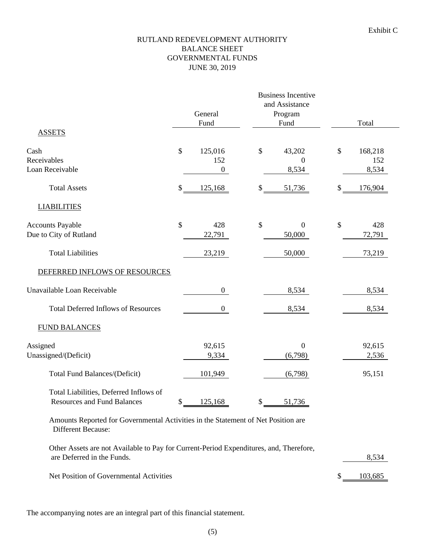#### RUTLAND REDEVELOPMENT AUTHORITY BALANCE SHEET GOVERNMENTAL FUNDS JUNE 30, 2019

|                                                                                                                |    | General                            | <b>Business Incentive</b><br>and Assistance<br>Program |                           |                         |
|----------------------------------------------------------------------------------------------------------------|----|------------------------------------|--------------------------------------------------------|---------------------------|-------------------------|
| <b>ASSETS</b>                                                                                                  |    | Fund                               | Fund                                                   |                           | Total                   |
| Cash<br>Receivables<br>Loan Receivable                                                                         | \$ | 125,016<br>152<br>$\boldsymbol{0}$ | \$<br>43,202<br>$\overline{0}$<br>8,534                | \$                        | 168,218<br>152<br>8,534 |
| <b>Total Assets</b>                                                                                            | \$ | 125,168                            | \$<br>51,736                                           | \$                        | 176,904                 |
| <b>LIABILITIES</b>                                                                                             |    |                                    |                                                        |                           |                         |
| <b>Accounts Payable</b><br>Due to City of Rutland                                                              | \$ | 428<br>22,791                      | \$<br>$\overline{0}$<br>50,000                         | $\boldsymbol{\mathsf{S}}$ | 428<br>72,791           |
| <b>Total Liabilities</b>                                                                                       |    | 23,219                             | 50,000                                                 |                           | 73,219                  |
| DEFERRED INFLOWS OF RESOURCES                                                                                  |    |                                    |                                                        |                           |                         |
| Unavailable Loan Receivable                                                                                    |    | $\overline{0}$                     | 8,534                                                  |                           | 8,534                   |
| <b>Total Deferred Inflows of Resources</b>                                                                     |    | $\boldsymbol{0}$                   | 8,534                                                  |                           | 8,534                   |
| <b>FUND BALANCES</b>                                                                                           |    |                                    |                                                        |                           |                         |
| Assigned<br>Unassigned/(Deficit)                                                                               |    | 92,615<br>9,334                    | $\overline{0}$<br>(6,798)                              |                           | 92,615<br>2,536         |
| <b>Total Fund Balances/(Deficit)</b>                                                                           |    | 101,949                            | (6,798)                                                |                           | 95,151                  |
| Total Liabilities, Deferred Inflows of<br><b>Resources and Fund Balances</b>                                   | \$ | 125,168                            | \$<br>51,736                                           |                           |                         |
| Amounts Reported for Governmental Activities in the Statement of Net Position are<br><b>Different Because:</b> |    |                                    |                                                        |                           |                         |
| Other Assets are not Available to Pay for Current-Period Expenditures, and, Therefore,                         |    |                                    |                                                        |                           |                         |

| are Deferred in the Funds.              | 8.534   |
|-----------------------------------------|---------|
| Net Position of Governmental Activities | 103,685 |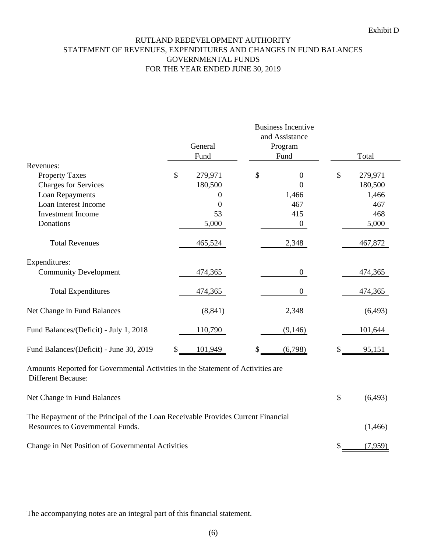# RUTLAND REDEVELOPMENT AUTHORITY FOR THE YEAR ENDED JUNE 30, 2019 GOVERNMENTAL FUNDS STATEMENT OF REVENUES, EXPENDITURES AND CHANGES IN FUND BALANCES

|                                                                                                                      |    |                  |    | <b>Business Incentive</b><br>and Assistance |                           |          |
|----------------------------------------------------------------------------------------------------------------------|----|------------------|----|---------------------------------------------|---------------------------|----------|
|                                                                                                                      |    | General          |    | Program                                     |                           |          |
|                                                                                                                      |    | Fund             |    | Fund                                        |                           | Total    |
| Revenues:                                                                                                            |    |                  |    |                                             |                           |          |
| <b>Property Taxes</b>                                                                                                | \$ | 279,971          | \$ | $\boldsymbol{0}$                            | $\boldsymbol{\mathsf{S}}$ | 279,971  |
| <b>Charges for Services</b>                                                                                          |    | 180,500          |    | $\theta$                                    |                           | 180,500  |
| Loan Repayments                                                                                                      |    | 0                |    | 1,466                                       |                           | 1,466    |
| Loan Interest Income                                                                                                 |    | $\boldsymbol{0}$ |    | 467                                         |                           | 467      |
| <b>Investment Income</b>                                                                                             |    | 53               |    | 415                                         |                           | 468      |
| Donations                                                                                                            |    | 5,000            |    | $\overline{0}$                              |                           | 5,000    |
| <b>Total Revenues</b>                                                                                                |    | 465,524          |    | 2,348                                       |                           | 467,872  |
| Expenditures:                                                                                                        |    |                  |    |                                             |                           |          |
| <b>Community Development</b>                                                                                         |    | 474,365          |    | $\overline{0}$                              |                           | 474,365  |
| <b>Total Expenditures</b>                                                                                            |    | 474,365          |    | $\overline{0}$                              |                           | 474,365  |
| Net Change in Fund Balances                                                                                          |    | (8, 841)         |    | 2,348                                       |                           | (6, 493) |
| Fund Balances/(Deficit) - July 1, 2018                                                                               |    | 110,790          |    | (9,146)                                     |                           | 101,644  |
| Fund Balances/(Deficit) - June 30, 2019                                                                              | \$ | 101,949          | S  | (6,798)                                     | \$                        | 95,151   |
| Amounts Reported for Governmental Activities in the Statement of Activities are<br>Different Because:                |    |                  |    |                                             |                           |          |
| Net Change in Fund Balances                                                                                          |    |                  |    |                                             | \$                        | (6, 493) |
| The Repayment of the Principal of the Loan Receivable Provides Current Financial<br>Resources to Governmental Funds. |    |                  |    |                                             |                           | (1,466)  |
| Change in Net Position of Governmental Activities                                                                    |    |                  |    |                                             | \$                        | (7,959)  |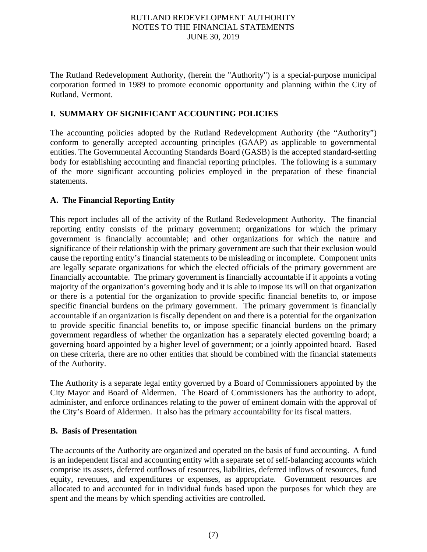The Rutland Redevelopment Authority, (herein the "Authority") is a special-purpose municipal corporation formed in 1989 to promote economic opportunity and planning within the City of Rutland, Vermont.

# **I. SUMMARY OF SIGNIFICANT ACCOUNTING POLICIES**

The accounting policies adopted by the Rutland Redevelopment Authority (the "Authority") conform to generally accepted accounting principles (GAAP) as applicable to governmental entities. The Governmental Accounting Standards Board (GASB) is the accepted standard-setting body for establishing accounting and financial reporting principles. The following is a summary of the more significant accounting policies employed in the preparation of these financial statements.

# **A. The Financial Reporting Entity**

This report includes all of the activity of the Rutland Redevelopment Authority. The financial reporting entity consists of the primary government; organizations for which the primary government is financially accountable; and other organizations for which the nature and significance of their relationship with the primary government are such that their exclusion would cause the reporting entity's financial statements to be misleading or incomplete. Component units are legally separate organizations for which the elected officials of the primary government are financially accountable. The primary government is financially accountable if it appoints a voting majority of the organization's governing body and it is able to impose its will on that organization or there is a potential for the organization to provide specific financial benefits to, or impose specific financial burdens on the primary government. The primary government is financially accountable if an organization is fiscally dependent on and there is a potential for the organization to provide specific financial benefits to, or impose specific financial burdens on the primary government regardless of whether the organization has a separately elected governing board; a governing board appointed by a higher level of government; or a jointly appointed board. Based on these criteria, there are no other entities that should be combined with the financial statements of the Authority.

The Authority is a separate legal entity governed by a Board of Commissioners appointed by the City Mayor and Board of Aldermen. The Board of Commissioners has the authority to adopt, administer, and enforce ordinances relating to the power of eminent domain with the approval of the City's Board of Aldermen. It also has the primary accountability for its fiscal matters.

# **B. Basis of Presentation**

The accounts of the Authority are organized and operated on the basis of fund accounting. A fund is an independent fiscal and accounting entity with a separate set of self-balancing accounts which comprise its assets, deferred outflows of resources, liabilities, deferred inflows of resources, fund equity, revenues, and expenditures or expenses, as appropriate. Government resources are allocated to and accounted for in individual funds based upon the purposes for which they are spent and the means by which spending activities are controlled.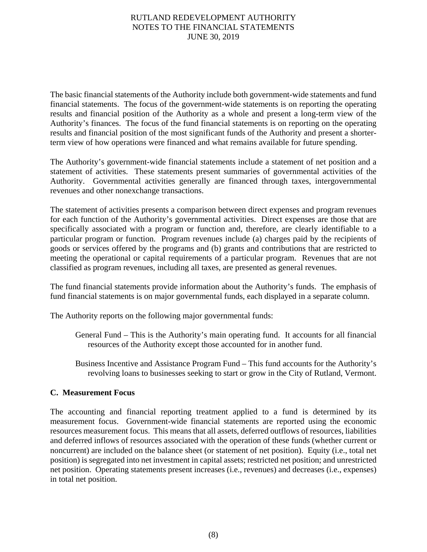The basic financial statements of the Authority include both government-wide statements and fund financial statements. The focus of the government-wide statements is on reporting the operating results and financial position of the Authority as a whole and present a long-term view of the Authority's finances. The focus of the fund financial statements is on reporting on the operating results and financial position of the most significant funds of the Authority and present a shorterterm view of how operations were financed and what remains available for future spending.

The Authority's government-wide financial statements include a statement of net position and a statement of activities. These statements present summaries of governmental activities of the Authority. Governmental activities generally are financed through taxes, intergovernmental revenues and other nonexchange transactions.

The statement of activities presents a comparison between direct expenses and program revenues for each function of the Authority's governmental activities. Direct expenses are those that are specifically associated with a program or function and, therefore, are clearly identifiable to a particular program or function. Program revenues include (a) charges paid by the recipients of goods or services offered by the programs and (b) grants and contributions that are restricted to meeting the operational or capital requirements of a particular program. Revenues that are not classified as program revenues, including all taxes, are presented as general revenues.

The fund financial statements provide information about the Authority's funds. The emphasis of fund financial statements is on major governmental funds, each displayed in a separate column.

The Authority reports on the following major governmental funds:

- General Fund This is the Authority's main operating fund. It accounts for all financial resources of the Authority except those accounted for in another fund.
- Business Incentive and Assistance Program Fund This fund accounts for the Authority's revolving loans to businesses seeking to start or grow in the City of Rutland, Vermont.

#### **C. Measurement Focus**

The accounting and financial reporting treatment applied to a fund is determined by its measurement focus. Government-wide financial statements are reported using the economic resources measurement focus. This means that all assets, deferred outflows of resources, liabilities and deferred inflows of resources associated with the operation of these funds (whether current or noncurrent) are included on the balance sheet (or statement of net position). Equity (i.e., total net position) is segregated into net investment in capital assets; restricted net position; and unrestricted net position. Operating statements present increases (i.e., revenues) and decreases (i.e., expenses) in total net position.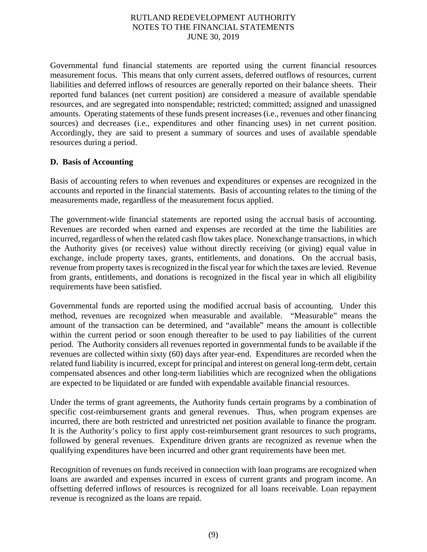Governmental fund financial statements are reported using the current financial resources measurement focus. This means that only current assets, deferred outflows of resources, current liabilities and deferred inflows of resources are generally reported on their balance sheets. Their reported fund balances (net current position) are considered a measure of available spendable resources, and are segregated into nonspendable; restricted; committed; assigned and unassigned amounts. Operating statements of these funds present increases (i.e., revenues and other financing sources) and decreases (i.e., expenditures and other financing uses) in net current position. Accordingly, they are said to present a summary of sources and uses of available spendable resources during a period.

#### **D. Basis of Accounting**

Basis of accounting refers to when revenues and expenditures or expenses are recognized in the accounts and reported in the financial statements. Basis of accounting relates to the timing of the measurements made, regardless of the measurement focus applied.

The government-wide financial statements are reported using the accrual basis of accounting. Revenues are recorded when earned and expenses are recorded at the time the liabilities are incurred, regardless of when the related cash flow takes place. Nonexchange transactions, in which the Authority gives (or receives) value without directly receiving (or giving) equal value in exchange, include property taxes, grants, entitlements, and donations. On the accrual basis, revenue from property taxes is recognized in the fiscal year for which the taxes are levied. Revenue from grants, entitlements, and donations is recognized in the fiscal year in which all eligibility requirements have been satisfied.

Governmental funds are reported using the modified accrual basis of accounting. Under this method, revenues are recognized when measurable and available. "Measurable" means the amount of the transaction can be determined, and "available" means the amount is collectible within the current period or soon enough thereafter to be used to pay liabilities of the current period. The Authority considers all revenues reported in governmental funds to be available if the revenues are collected within sixty (60) days after year-end. Expenditures are recorded when the related fund liability is incurred, except for principal and interest on general long-term debt, certain compensated absences and other long-term liabilities which are recognized when the obligations are expected to be liquidated or are funded with expendable available financial resources.

Under the terms of grant agreements, the Authority funds certain programs by a combination of specific cost-reimbursement grants and general revenues. Thus, when program expenses are incurred, there are both restricted and unrestricted net position available to finance the program. It is the Authority's policy to first apply cost-reimbursement grant resources to such programs, followed by general revenues. Expenditure driven grants are recognized as revenue when the qualifying expenditures have been incurred and other grant requirements have been met.

Recognition of revenues on funds received in connection with loan programs are recognized when loans are awarded and expenses incurred in excess of current grants and program income. An offsetting deferred inflows of resources is recognized for all loans receivable. Loan repayment revenue is recognized as the loans are repaid.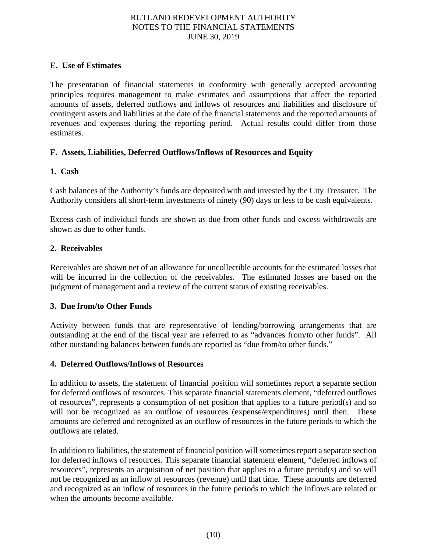### **E. Use of Estimates**

The presentation of financial statements in conformity with generally accepted accounting principles requires management to make estimates and assumptions that affect the reported amounts of assets, deferred outflows and inflows of resources and liabilities and disclosure of contingent assets and liabilities at the date of the financial statements and the reported amounts of revenues and expenses during the reporting period. Actual results could differ from those estimates.

### **F. Assets, Liabilities, Deferred Outflows/Inflows of Resources and Equity**

### **1. Cash**

Cash balances of the Authority's funds are deposited with and invested by the City Treasurer. The Authority considers all short-term investments of ninety (90) days or less to be cash equivalents.

Excess cash of individual funds are shown as due from other funds and excess withdrawals are shown as due to other funds.

### **2. Receivables**

Receivables are shown net of an allowance for uncollectible accounts for the estimated losses that will be incurred in the collection of the receivables. The estimated losses are based on the judgment of management and a review of the current status of existing receivables.

#### **3. Due from/to Other Funds**

Activity between funds that are representative of lending/borrowing arrangements that are outstanding at the end of the fiscal year are referred to as "advances from/to other funds". All other outstanding balances between funds are reported as "due from/to other funds."

#### **4. Deferred Outflows/Inflows of Resources**

In addition to assets, the statement of financial position will sometimes report a separate section for deferred outflows of resources. This separate financial statements element, "deferred outflows of resources", represents a consumption of net position that applies to a future period(s) and so will not be recognized as an outflow of resources (expense/expenditures) until then. These amounts are deferred and recognized as an outflow of resources in the future periods to which the outflows are related.

In addition to liabilities, the statement of financial position will sometimes report a separate section for deferred inflows of resources. This separate financial statement element, "deferred inflows of resources", represents an acquisition of net position that applies to a future period(s) and so will not be recognized as an inflow of resources (revenue) until that time. These amounts are deferred and recognized as an inflow of resources in the future periods to which the inflows are related or when the amounts become available.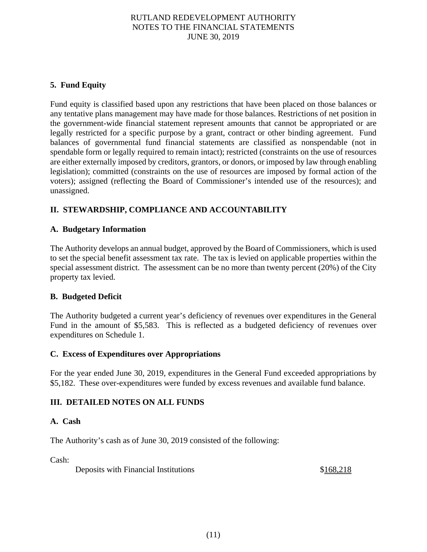# **5. Fund Equity**

Fund equity is classified based upon any restrictions that have been placed on those balances or any tentative plans management may have made for those balances. Restrictions of net position in the government-wide financial statement represent amounts that cannot be appropriated or are legally restricted for a specific purpose by a grant, contract or other binding agreement. Fund balances of governmental fund financial statements are classified as nonspendable (not in spendable form or legally required to remain intact); restricted (constraints on the use of resources are either externally imposed by creditors, grantors, or donors, or imposed by law through enabling legislation); committed (constraints on the use of resources are imposed by formal action of the voters); assigned (reflecting the Board of Commissioner's intended use of the resources); and unassigned.

# **II. STEWARDSHIP, COMPLIANCE AND ACCOUNTABILITY**

# **A. Budgetary Information**

The Authority develops an annual budget, approved by the Board of Commissioners, which is used to set the special benefit assessment tax rate. The tax is levied on applicable properties within the special assessment district. The assessment can be no more than twenty percent (20%) of the City property tax levied.

#### **B. Budgeted Deficit**

The Authority budgeted a current year's deficiency of revenues over expenditures in the General Fund in the amount of \$5,583. This is reflected as a budgeted deficiency of revenues over expenditures on Schedule 1.

#### **C. Excess of Expenditures over Appropriations**

For the year ended June 30, 2019, expenditures in the General Fund exceeded appropriations by \$5,182. These over-expenditures were funded by excess revenues and available fund balance.

# **III. DETAILED NOTES ON ALL FUNDS**

#### **A. Cash**

The Authority's cash as of June 30, 2019 consisted of the following:

Cash:

Deposits with Financial Institutions \$168,218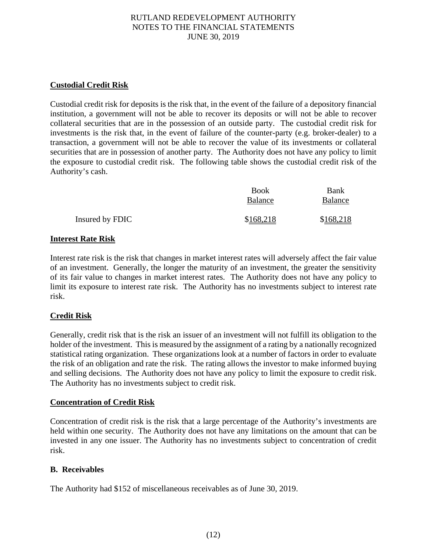### **Custodial Credit Risk**

Custodial credit risk for deposits is the risk that, in the event of the failure of a depository financial institution, a government will not be able to recover its deposits or will not be able to recover collateral securities that are in the possession of an outside party. The custodial credit risk for investments is the risk that, in the event of failure of the counter-party (e.g. broker-dealer) to a transaction, a government will not be able to recover the value of its investments or collateral securities that are in possession of another party. The Authority does not have any policy to limit the exposure to custodial credit risk. The following table shows the custodial credit risk of the Authority's cash.

|                 | <b>Book</b><br><b>Balance</b> | Bank<br><b>Balance</b> |
|-----------------|-------------------------------|------------------------|
| Insured by FDIC | \$168,218                     | \$168,218              |

#### **Interest Rate Risk**

Interest rate risk is the risk that changes in market interest rates will adversely affect the fair value of an investment. Generally, the longer the maturity of an investment, the greater the sensitivity of its fair value to changes in market interest rates. The Authority does not have any policy to limit its exposure to interest rate risk. The Authority has no investments subject to interest rate risk.

# **Credit Risk**

Generally, credit risk that is the risk an issuer of an investment will not fulfill its obligation to the holder of the investment. This is measured by the assignment of a rating by a nationally recognized statistical rating organization. These organizations look at a number of factors in order to evaluate the risk of an obligation and rate the risk. The rating allows the investor to make informed buying and selling decisions. The Authority does not have any policy to limit the exposure to credit risk. The Authority has no investments subject to credit risk.

# **Concentration of Credit Risk**

Concentration of credit risk is the risk that a large percentage of the Authority's investments are held within one security. The Authority does not have any limitations on the amount that can be invested in any one issuer. The Authority has no investments subject to concentration of credit risk.

# **B. Receivables**

The Authority had \$152 of miscellaneous receivables as of June 30, 2019.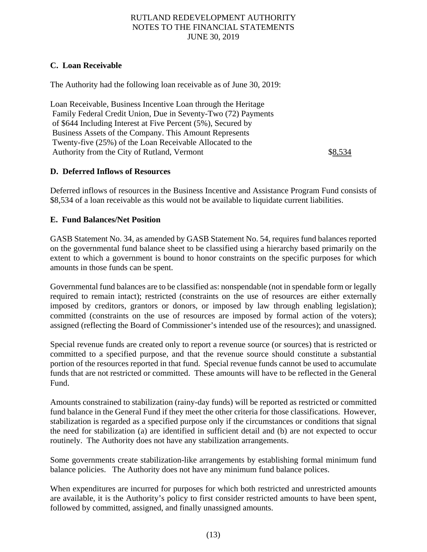# **C. Loan Receivable**

The Authority had the following loan receivable as of June 30, 2019:

Loan Receivable, Business Incentive Loan through the Heritage Family Federal Credit Union, Due in Seventy-Two (72) Payments of \$644 Including Interest at Five Percent (5%), Secured by Business Assets of the Company. This Amount Represents Twenty-five (25%) of the Loan Receivable Allocated to the Authority from the City of Rutland, Vermont \$8,534

# **D. Deferred Inflows of Resources**

Deferred inflows of resources in the Business Incentive and Assistance Program Fund consists of \$8,534 of a loan receivable as this would not be available to liquidate current liabilities.

# **E. Fund Balances/Net Position**

GASB Statement No. 34, as amended by GASB Statement No. 54, requires fund balances reported on the governmental fund balance sheet to be classified using a hierarchy based primarily on the extent to which a government is bound to honor constraints on the specific purposes for which amounts in those funds can be spent.

Governmental fund balances are to be classified as: nonspendable (not in spendable form or legally required to remain intact); restricted (constraints on the use of resources are either externally imposed by creditors, grantors or donors, or imposed by law through enabling legislation); committed (constraints on the use of resources are imposed by formal action of the voters); assigned (reflecting the Board of Commissioner's intended use of the resources); and unassigned.

Special revenue funds are created only to report a revenue source (or sources) that is restricted or committed to a specified purpose, and that the revenue source should constitute a substantial portion of the resources reported in that fund. Special revenue funds cannot be used to accumulate funds that are not restricted or committed. These amounts will have to be reflected in the General Fund.

Amounts constrained to stabilization (rainy-day funds) will be reported as restricted or committed fund balance in the General Fund if they meet the other criteria for those classifications. However, stabilization is regarded as a specified purpose only if the circumstances or conditions that signal the need for stabilization (a) are identified in sufficient detail and (b) are not expected to occur routinely. The Authority does not have any stabilization arrangements.

Some governments create stabilization-like arrangements by establishing formal minimum fund balance policies. The Authority does not have any minimum fund balance polices.

When expenditures are incurred for purposes for which both restricted and unrestricted amounts are available, it is the Authority's policy to first consider restricted amounts to have been spent, followed by committed, assigned, and finally unassigned amounts.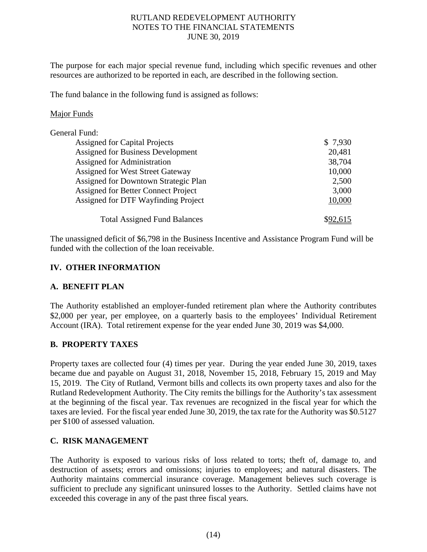The purpose for each major special revenue fund, including which specific revenues and other resources are authorized to be reported in each, are described in the following section.

The fund balance in the following fund is assigned as follows:

#### Major Funds

| General Fund:                              |          |
|--------------------------------------------|----------|
| <b>Assigned for Capital Projects</b>       | \$ 7,930 |
| <b>Assigned for Business Development</b>   | 20,481   |
| Assigned for Administration                | 38,704   |
| <b>Assigned for West Street Gateway</b>    | 10,000   |
| Assigned for Downtown Strategic Plan       | 2,500    |
| <b>Assigned for Better Connect Project</b> | 3,000    |
| Assigned for DTF Wayfinding Project        | 10,000   |
| <b>Total Assigned Fund Balances</b>        | \$92,615 |

The unassigned deficit of \$6,798 in the Business Incentive and Assistance Program Fund will be funded with the collection of the loan receivable.

# **IV. OTHER INFORMATION**

# **A. BENEFIT PLAN**

The Authority established an employer-funded retirement plan where the Authority contributes \$2,000 per year, per employee, on a quarterly basis to the employees' Individual Retirement Account (IRA). Total retirement expense for the year ended June 30, 2019 was \$4,000.

# **B. PROPERTY TAXES**

Property taxes are collected four (4) times per year. During the year ended June 30, 2019, taxes became due and payable on August 31, 2018, November 15, 2018, February 15, 2019 and May 15, 2019. The City of Rutland, Vermont bills and collects its own property taxes and also for the Rutland Redevelopment Authority. The City remits the billings for the Authority's tax assessment at the beginning of the fiscal year. Tax revenues are recognized in the fiscal year for which the taxes are levied. For the fiscal year ended June 30, 2019, the tax rate for the Authority was \$0.5127 per \$100 of assessed valuation.

#### **C. RISK MANAGEMENT**

The Authority is exposed to various risks of loss related to torts; theft of, damage to, and destruction of assets; errors and omissions; injuries to employees; and natural disasters. The Authority maintains commercial insurance coverage. Management believes such coverage is sufficient to preclude any significant uninsured losses to the Authority. Settled claims have not exceeded this coverage in any of the past three fiscal years.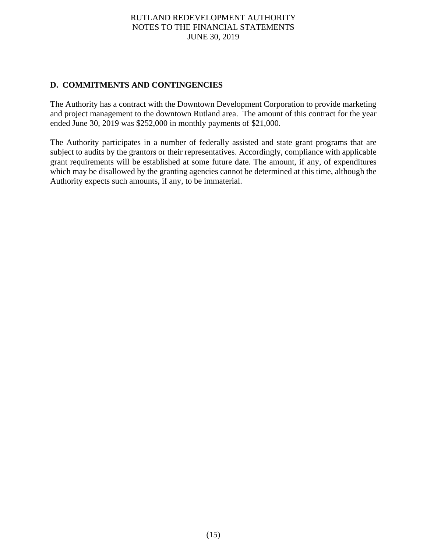# **D. COMMITMENTS AND CONTINGENCIES**

The Authority has a contract with the Downtown Development Corporation to provide marketing and project management to the downtown Rutland area. The amount of this contract for the year ended June 30, 2019 was \$252,000 in monthly payments of \$21,000.

The Authority participates in a number of federally assisted and state grant programs that are subject to audits by the grantors or their representatives. Accordingly, compliance with applicable grant requirements will be established at some future date. The amount, if any, of expenditures which may be disallowed by the granting agencies cannot be determined at this time, although the Authority expects such amounts, if any, to be immaterial.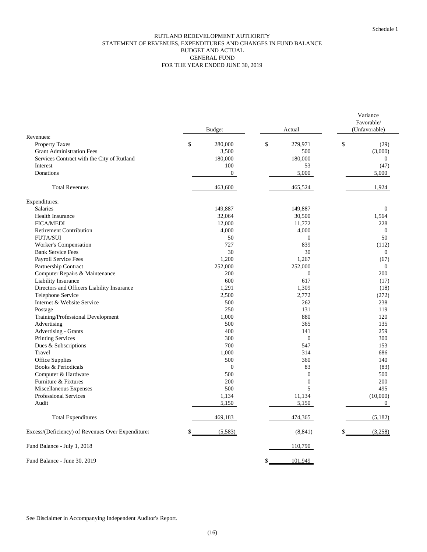#### RUTLAND REDEVELOPMENT AUTHORITY FOR THE YEAR ENDED JUNE 30, 2019 GENERAL FUND BUDGET AND ACTUAL STATEMENT OF REVENUES, EXPENDITURES AND CHANGES IN FUND BALANCE

|                                                   | <b>Budget</b>         | Actual                             | Variance<br>Favorable/<br>(Unfavorable) |
|---------------------------------------------------|-----------------------|------------------------------------|-----------------------------------------|
| Revenues:                                         |                       |                                    |                                         |
| <b>Property Taxes</b>                             | \$<br>280,000         | \$<br>279,971                      | \$<br>(29)                              |
| <b>Grant Administration Fees</b>                  | 3,500                 | 500                                | (3,000)                                 |
| Services Contract with the City of Rutland        | 180,000               | 180,000                            | $\mathbf{0}$                            |
| Interest                                          | 100                   | 53                                 | (47)                                    |
| Donations                                         | $\mathbf{0}$          | 5,000                              | 5,000                                   |
| <b>Total Revenues</b>                             | 463,600               | 465,524                            | 1,924                                   |
| Expenditures:                                     |                       |                                    |                                         |
| Salaries                                          | 149,887               | 149,887                            | $\mathbf{0}$                            |
| <b>Health Insurance</b>                           | 32,064                | 30,500                             | 1,564                                   |
| <b>FICA/MEDI</b>                                  | 12,000                | 11,772                             | 228                                     |
| <b>Retirement Contribution</b>                    | 4,000                 | 4,000                              | $\mathbf{0}$                            |
| <b>FUTA/SUI</b>                                   | 50                    | $\mathbf{0}$                       | 50                                      |
| Worker's Compensation                             | 727                   | 839                                | (112)                                   |
| <b>Bank Service Fees</b>                          | 30                    | 30                                 | $\mathbf{0}$                            |
| Payroll Service Fees                              | 1,200                 | 1,267                              | (67)                                    |
| Partnership Contract                              | 252,000               | 252,000                            | $\mathbf{0}$                            |
| Computer Repairs & Maintenance                    | 200                   | $\boldsymbol{0}$                   | 200                                     |
| Liability Insurance                               | 600                   | 617                                | (17)                                    |
| Directors and Officers Liability Insurance        | 1,291                 | 1,309                              | (18)                                    |
| Telephone Service                                 | 2,500                 | 2,772                              | (272)                                   |
| Internet & Website Service                        | 500                   | 262                                | 238                                     |
| Postage                                           | 250                   | 131                                | 119                                     |
| Training/Professional Development                 | 1,000                 | 880                                | 120                                     |
| Advertising                                       | 500                   | 365                                | 135                                     |
| Advertising - Grants                              | 400                   | 141                                | 259                                     |
| <b>Printing Services</b>                          | 300                   | $\boldsymbol{0}$                   | 300                                     |
| Dues & Subscriptions                              | 700                   | 547                                | 153                                     |
| Travel                                            | 1,000                 | 314                                | 686                                     |
|                                                   |                       |                                    |                                         |
| Office Supplies                                   | 500<br>$\overline{0}$ | 360<br>83                          | 140                                     |
| Books & Periodicals                               |                       |                                    | (83)                                    |
| Computer & Hardware                               | 500                   | $\boldsymbol{0}$<br>$\overline{0}$ | 500                                     |
| Furniture & Fixtures                              | 200                   |                                    | 200                                     |
| Miscellaneous Expenses                            | 500                   | 5                                  | 495                                     |
| Professional Services                             | 1,134                 | 11,134                             | (10,000)                                |
| Audit                                             | 5,150                 | 5,150                              | $\overline{0}$                          |
| <b>Total Expenditures</b>                         | 469,183               | 474,365                            | (5,182)                                 |
| Excess/(Deficiency) of Revenues Over Expenditures | \$<br>(5,583)         | (8, 841)                           | \$<br>(3,258)                           |
| Fund Balance - July 1, 2018                       |                       | 110,790                            |                                         |
| Fund Balance - June 30, 2019                      |                       | \$<br>101,949                      |                                         |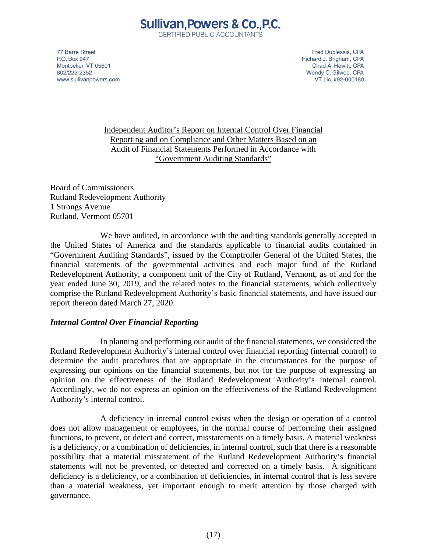**77 Barre Street** P.O. Box 947 Montpelier, VT 05601 802/223-2352 www.sullivanpowers.com

Fred Duplessis, CPA Richard J. Brigham, CPA Chad A. Hewitt, CPA Wendy C. Gilwee, CPA VT Lic. #92-000180

Independent Auditor's Report on Internal Control Over Financial Reporting and on Compliance and Other Matters Based on an Audit of Financial Statements Performed in Accordance with "Government Auditing Standards"

Board of Commissioners Rutland Redevelopment Authority 1 Strongs Avenue Rutland, Vermont 05701

 We have audited, in accordance with the auditing standards generally accepted in the United States of America and the standards applicable to financial audits contained in "Government Auditing Standards", issued by the Comptroller General of the United States, the financial statements of the governmental activities and each major fund of the Rutland Redevelopment Authority, a component unit of the City of Rutland, Vermont, as of and for the year ended June 30, 2019, and the related notes to the financial statements, which collectively comprise the Rutland Redevelopment Authority's basic financial statements, and have issued our report thereon dated March 27, 2020.

#### *Internal Control Over Financial Reporting*

 In planning and performing our audit of the financial statements, we considered the Rutland Redevelopment Authority's internal control over financial reporting (internal control) to determine the audit procedures that are appropriate in the circumstances for the purpose of expressing our opinions on the financial statements, but not for the purpose of expressing an opinion on the effectiveness of the Rutland Redevelopment Authority's internal control. Accordingly, we do not express an opinion on the effectiveness of the Rutland Redevelopment Authority's internal control.

A deficiency in internal control exists when the design or operation of a control does not allow management or employees, in the normal course of performing their assigned functions, to prevent, or detect and correct, misstatements on a timely basis. A material weakness is a deficiency, or a combination of deficiencies, in internal control, such that there is a reasonable possibility that a material misstatement of the Rutland Redevelopment Authority's financial statements will not be prevented, or detected and corrected on a timely basis. A significant deficiency is a deficiency, or a combination of deficiencies, in internal control that is less severe than a material weakness, yet important enough to merit attention by those charged with governance.